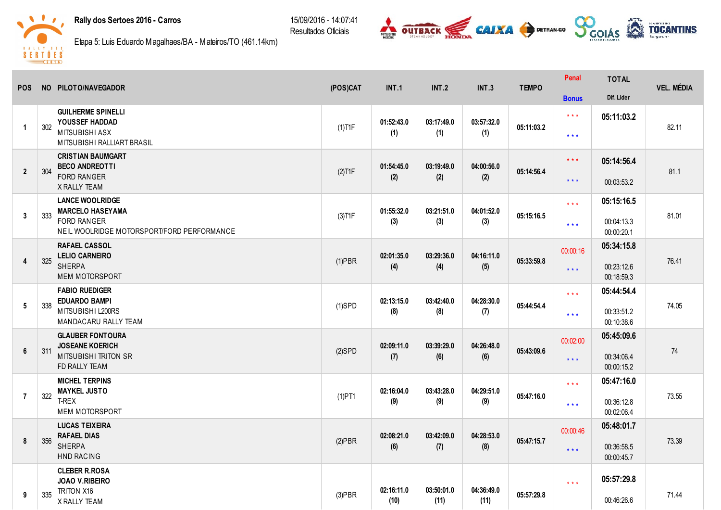## Rally dos Sertoes 2016 - Carros

15/09/2016 14:07:41 Resultados Oficiais





Etapa 5: Luis Eduardo Magalhaes/BA - Mateiros/TO (461.14km)

| <b>POS</b>      |     | NO PILOTO/NAVEGADOR                                              | (POS)CAT  | <b>INT.1</b>       | <b>INT.2</b>       | <b>INT.3</b>       | <b>TEMPO</b> | Penal                   | <b>TOTAL</b>             | <b>VEL. MÉDIA</b> |
|-----------------|-----|------------------------------------------------------------------|-----------|--------------------|--------------------|--------------------|--------------|-------------------------|--------------------------|-------------------|
|                 |     |                                                                  |           |                    |                    |                    |              | <b>Bonus</b>            | Dif. Lider               |                   |
| $\overline{1}$  | 302 | <b>GUILHERME SPINELLI</b><br><b>YOUSSEF HADDAD</b>               |           | 01:52:43.0         | 03:17:49.0         | 03:57:32.0         | 05:11:03.2   | $* * *$                 | 05:11:03.2               |                   |
|                 |     | <b>MITSUBISHI ASX</b><br>MITSUBISHI RALLIART BRASIL              | $(1)$ T1F | (1)                | (1)                | (1)                |              | $***$                   |                          | 82.11             |
|                 | 304 | <b>CRISTIAN BAUMGART</b><br><b>BECO ANDREOTTI</b>                |           | 01:54:45.0         | 03:19:49.0         | 04:00:56.0         | 05:14:56.4   | $* * *$                 | 05:14:56.4               | 81.1              |
| $\overline{2}$  |     | <b>FORD RANGER</b><br><b>X RALLY TEAM</b>                        | $(2)$ T1F | (2)                | (2)                | (2)                |              | $\star\star\star$       | 00:03:53.2               |                   |
|                 |     | <b>LANCE WOOLRIDGE</b><br><b>MARCELO HASEYAMA</b>                |           | 01:55:32.0         | 03:21:51.0         | 04:01:52.0         |              | $* * *$                 | 05:15:16.5               |                   |
| 3               | 333 | <b>FORD RANGER</b><br>NEIL WOOLRIDGE MOTORSPORT/FORD PERFORMANCE | $(3)$ T1F | (3)                | (3)                | (3)                | 05:15:16.5   | $***$                   | 00:04:13.3<br>00:00:20.1 | 81.01             |
|                 |     | <b>RAFAEL CASSOL</b><br><b>LELIO CARNEIRO</b>                    |           | 02:01:35.0         | 03:29:36.0         | 04:16:11.0         |              | 00:00:16                | 05:34:15.8               |                   |
| $\overline{4}$  | 325 | <b>SHERPA</b><br><b>MEM MOTORSPORT</b>                           | $(1)$ PBR | (4)                | (4)                | (5)                | 05:33:59.8   | $***$                   | 00:23:12.6<br>00:18:59.3 | 76.41             |
|                 |     | <b>FABIO RUEDIGER</b><br><b>EDUARDO BAMPI</b>                    |           | 02:13:15.0         | 03:42:40.0         | 04:28:30.0         |              | $\star \star \star$     | 05:44:54.4               |                   |
| $5\phantom{.0}$ | 338 | MITSUBISHI L200RS<br>MANDACARU RALLY TEAM                        | $(1)$ SPD | (8)                | (8)                | (7)                | 05:44:54.4   | $***$                   | 00:33:51.2<br>00:10:38.6 | 74.05             |
|                 |     | <b>GLAUBER FONTOURA</b><br><b>JOSEANE KOERICH</b>                |           | 02:09:11.0         | 03:39:29.0         | 04:26:48.0         |              | 00:02:00                | 05:45:09.6               |                   |
| $6\phantom{1}$  | 311 | <b>MITSUBISHI TRITON SR</b><br>FD RALLY TEAM                     | $(2)$ SPD | (7)                | (6)                | (6)                | 05:43:09.6   | $***$                   | 00:34:06.4<br>00:00:15.2 | $74$              |
|                 |     | <b>MICHEL TERPINS</b><br><b>MAYKEL JUSTO</b>                     |           | 02:16:04.0         | 03:43:28.0         | 04:29:51.0         |              | $***$                   | 05:47:16.0               |                   |
| $\overline{7}$  | 322 | T-REX<br><b>MEM MOTORSPORT</b>                                   | $(1)$ PT1 | (9)                | (9)                | (9)                | 05:47:16.0   | $\star\star\star$       | 00:36:12.8<br>00:02:06.4 | 73.55             |
|                 |     | <b>LUCAS TEIXEIRA</b><br><b>RAFAEL DIAS</b>                      |           | 02:08:21.0         | 03:42:09.0         | 04:28:53.0         |              | 00:00:46                | 05:48:01.7               |                   |
| 8               | 356 | <b>SHERPA</b><br>HND RACING                                      | $(2)$ PBR | (6)                | (7)                | (8)                | 05:47:15.7   | $***$                   | 00:36:58.5<br>00:00:45.7 | 73.39             |
|                 |     | <b>CLEBER R.ROSA</b><br>JOAO V.RIBEIRO                           |           |                    |                    |                    |              | $\star$ $\star$ $\star$ | 05:57:29.8               |                   |
| 9               | 335 | <b>TRITON X16</b><br>X RALLY TEAM                                | $(3)$ PBR | 02:16:11.0<br>(10) | 03:50:01.0<br>(11) | 04:36:49.0<br>(11) | 05:57:29.8   |                         | 00:46:26.6               | 71.44             |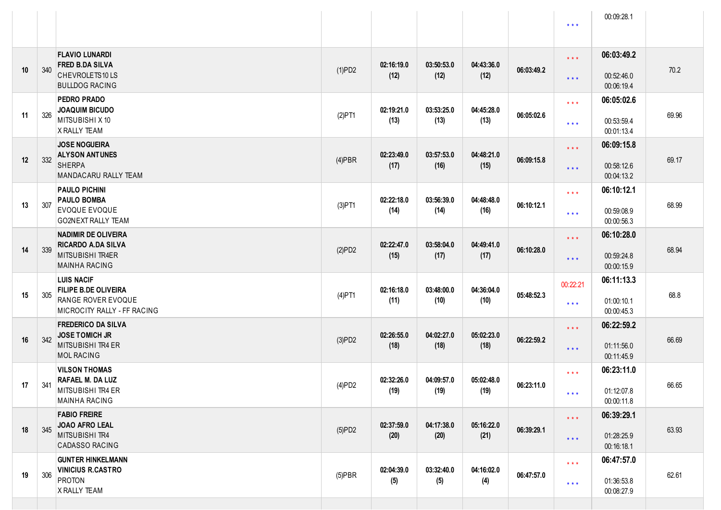|    |     |                                                                                                       |           |                    |                    |                    |            | $\star\star\star$                                  | 00:09:28.1                             |       |
|----|-----|-------------------------------------------------------------------------------------------------------|-----------|--------------------|--------------------|--------------------|------------|----------------------------------------------------|----------------------------------------|-------|
| 10 | 340 | <b>FLAVIO LUNARDI</b><br><b>FRED B.DA SILVA</b><br>CHEVROLETS10LS<br><b>BULLDOG RACING</b>            | (1)PD2    | 02:16:19.0<br>(12) | 03:50:53.0<br>(12) | 04:43:36.0<br>(12) | 06:03:49.2 | $\star\star\star$<br>$\star \star \star$           | 06:03:49.2<br>00:52:46.0<br>00:06:19.4 | 70.2  |
| 11 | 326 | <b>PEDRO PRADO</b><br><b>JOAQUIM BICUDO</b><br>MITSUBISHI X 10<br>X RALLY TEAM                        | $(2)$ PT1 | 02:19:21.0<br>(13) | 03:53:25.0<br>(13) | 04:45:28.0<br>(13) | 06:05:02.6 | $***$<br>$\star$ $\star$ $\star$                   | 06:05:02.6<br>00:53:59.4<br>00:01:13.4 | 69.96 |
| 12 | 332 | <b>JOSE NOGUEIRA</b><br><b>ALYSON ANTUNES</b><br><b>SHERPA</b><br>MANDACARU RALLY TEAM                | $(4)$ PBR | 02:23:49.0<br>(17) | 03:57:53.0<br>(16) | 04:48:21.0<br>(15) | 06:09:15.8 | $***$<br>$\star \star \star$                       | 06:09:15.8<br>00:58:12.6<br>00:04:13.2 | 69.17 |
| 13 | 307 | <b>PAULO PICHINI</b><br><b>PAULO BOMBA</b><br>EVOQUE EVOQUE<br>GO2NEXT RALLY TEAM                     | $(3)$ PT1 | 02:22:18.0<br>(14) | 03:56:39.0<br>(14) | 04:48:48.0<br>(16) | 06:10:12.1 | $* * *$<br>$\star$ $\star$ $\star$                 | 06:10:12.1<br>00:59:08.9<br>00:00:56.3 | 68.99 |
| 14 | 339 | <b>NADIMIR DE OLIVEIRA</b><br><b>RICARDO A.DA SILVA</b><br>MITSUBISHI TR4ER<br><b>MAINHA RACING</b>   | (2)PD2    | 02:22:47.0<br>(15) | 03:58:04.0<br>(17) | 04:49:41.0<br>(17) | 06:10:28.0 | $* * *$<br>$\star \star \star$                     | 06:10:28.0<br>00:59:24.8<br>00:00:15.9 | 68.94 |
| 15 | 305 | <b>LUIS NACIF</b><br><b>FILIPE B.DE OLIVEIRA</b><br>RANGE ROVER EVOQUE<br>MICROCITY RALLY - FF RACING | $(4)$ PT1 | 02:16:18.0<br>(11) | 03:48:00.0<br>(10) | 04:36:04.0<br>(10) | 05:48:52.3 | 00:22:21<br>$\star$ $\star$ $\star$                | 06:11:13.3<br>01:00:10.1<br>00:00:45.3 | 68.8  |
| 16 | 342 | <b>FREDERICO DA SILVA</b><br><b>JOSE TOMICH JR</b><br>MITSUBISHI TR4 ER<br><b>MOL RACING</b>          | (3)PD2    | 02:26:55.0<br>(18) | 04:02:27.0<br>(18) | 05:02:23.0<br>(18) | 06:22:59.2 | $\star \star \star$<br>$\star \star \star$         | 06:22:59.2<br>01:11:56.0<br>00:11:45.9 | 66.69 |
| 17 | 341 | <b>VILSON THOMAS</b><br><b>RAFAEL M. DA LUZ</b><br>MITSUBISHI TR4 ER<br><b>MAINHA RACING</b>          | (4)PD2    | 02:32:26.0<br>(19) | 04:09:57.0<br>(19) | 05:02:48.0<br>(19) | 06:23:11.0 | $\star$ $\star$ $\star$<br>$* * *$                 | 06:23:11.0<br>01:12:07.8<br>00:00:11.8 | 66.65 |
| 18 | 345 | <b>FABIO FREIRE</b><br>JOAO AFRO LEAL<br>MITSUBISHI TR4<br><b>CADASSO RACING</b>                      | $(5)$ PD2 | 02:37:59.0<br>(20) | 04:17:38.0<br>(20) | 05:16:22.0<br>(21) | 06:39:29.1 | $\star$ $\star$ $\star$<br>$\star$ $\star$ $\star$ | 06:39:29.1<br>01:28:25.9<br>00:16:18.1 | 63.93 |
| 19 | 306 | <b>GUNTER HINKELMANN</b><br><b>VINICIUS R.CASTRO</b><br>PROTON<br>X RALLY TEAM                        | $(5)$ PBR | 02:04:39.0<br>(5)  | 03:32:40.0<br>(5)  | 04:16:02.0<br>(4)  | 06:47:57.0 | $\star$ $\star$ $\star$<br>$\star$ $\star$ $\star$ | 06:47:57.0<br>01:36:53.8<br>00:08:27.9 | 62.61 |
|    |     |                                                                                                       |           |                    |                    |                    |            |                                                    |                                        |       |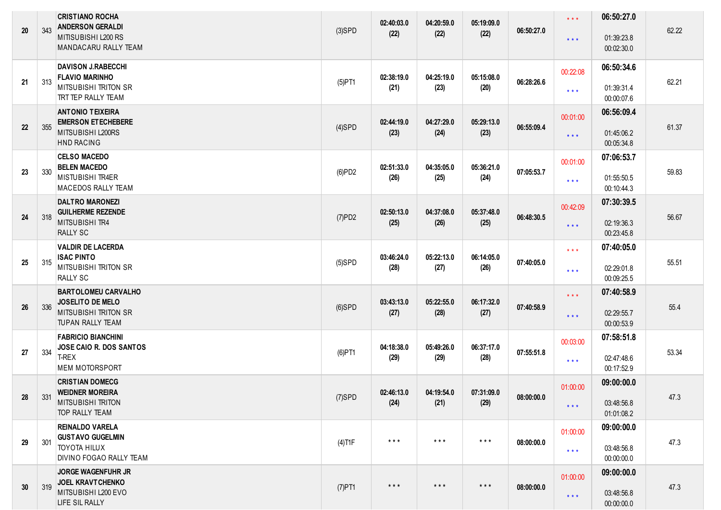| 20 | 343 | <b>CRISTIANO ROCHA</b><br><b>ANDERSON GERALDI</b><br>MITISUBISHI L200 RS<br>MANDACARU RALLY TEAM         | $(3)$ SPD | 02:40:03.0<br>(22)      | 04:20:59.0<br>(22)      | 05:19:09.0<br>(22)      | 06:50:27.0 | $\star$ $\star$ $\star$<br>$***$                   | 06:50:27.0<br>01:39:23.8<br>00:02:30.0 | 62.22 |
|----|-----|----------------------------------------------------------------------------------------------------------|-----------|-------------------------|-------------------------|-------------------------|------------|----------------------------------------------------|----------------------------------------|-------|
| 21 | 313 | <b>DAVISON J.RABECCHI</b><br><b>FLAVIO MARINHO</b><br><b>MITSUBISHI TRITON SR</b><br>TRT TEP RALLY TEAM  | $(5)$ PT1 | 02:38:19.0<br>(21)      | 04:25:19.0<br>(23)      | 05:15:08.0<br>(20)      | 06:28:26.6 | 00:22:08<br>$\star$ $\star$ $\star$                | 06:50:34.6<br>01:39:31.4<br>00:00:07.6 | 62.21 |
| 22 | 355 | <b>ANTONIO TEIXEIRA</b><br><b>EMERSON ET ECHEBERE</b><br>MITSUBISHI L200RS<br><b>HND RACING</b>          | $(4)$ SPD | 02:44:19.0<br>(23)      | 04:27:29.0<br>(24)      | 05:29:13.0<br>(23)      | 06:55:09.4 | 00:01:00<br>$***$                                  | 06:56:09.4<br>01:45:06.2<br>00:05:34.8 | 61.37 |
| 23 | 330 | <b>CELSO MACEDO</b><br><b>BELEN MACEDO</b><br><b>MISTUBISHI TR4ER</b><br><b>MACEDOS RALLY TEAM</b>       | (6)PD2    | 02:51:33.0<br>(26)      | 04:35:05.0<br>(25)      | 05:36:21.0<br>(24)      | 07:05:53.7 | 00:01:00<br>$\star$ $\star$ $\star$                | 07:06:53.7<br>01:55:50.5<br>00:10:44.3 | 59.83 |
| 24 | 318 | <b>DALTRO MARONEZI</b><br><b>GUILHERME REZENDE</b><br>MITSUBISHI TR4<br><b>RALLY SC</b>                  | (7)PD2    | 02:50:13.0<br>(25)      | 04:37:08.0<br>(26)      | 05:37:48.0<br>(25)      | 06:48:30.5 | 00:42:09<br>$\star$ $\star$ $\star$                | 07:30:39.5<br>02:19:36.3<br>00:23:45.8 | 56.67 |
| 25 | 315 | <b>VALDIR DE LACERDA</b><br><b>ISAC PINTO</b><br><b>MITSUBISHI TRITON SR</b><br><b>RALLY SC</b>          | $(5)$ SPD | 03:46:24.0<br>(28)      | 05:22:13.0<br>(27)      | 06:14:05.0<br>(26)      | 07:40:05.0 | $\star$ $\star$ $\star$<br>$\star$ $\star$ $\star$ | 07:40:05.0<br>02:29:01.8<br>00:09:25.5 | 55.51 |
| 26 | 336 | <b>BARTOLOMEU CARVALHO</b><br>JOSELITO DE MELO<br><b>MITSUBISHI TRITON SR</b><br><b>TUPAN RALLY TEAM</b> | $(6)$ SPD | 03:43:13.0<br>(27)      | 05:22:55.0<br>(28)      | 06:17:32.0<br>(27)      | 07:40:58.9 | $***$<br>$***$                                     | 07:40:58.9<br>02:29:55.7<br>00:00:53.9 | 55.4  |
| 27 | 334 | <b>FABRICIO BIANCHINI</b><br>JOSE CAIO R. DOS SANTOS<br>T-REX<br><b>MEM MOTORSPORT</b>                   | $(6)$ PT1 | 04:18:38.0<br>(29)      | 05:49:26.0<br>(29)      | 06:37:17.0<br>(28)      | 07:55:51.8 | 00:03:00<br>$\star$ $\star$ $\star$                | 07:58:51.8<br>02:47:48.6<br>00:17:52.9 | 53.34 |
| 28 | 331 | <b>CRISTIAN DOMECG</b><br><b>WEIDNER MOREIRA</b><br><b>MITSUBISHI TRITON</b><br><b>TOP RALLY TEAM</b>    | $(7)$ SPD | 02:46:13.0<br>(24)      | 04:19:54.0<br>(21)      | 07:31:09.0<br>(29)      | 08:00:00.0 | 01:00:00<br>$***$                                  | 09:00:00.0<br>03:48:56.8<br>01:01:08.2 | 47.3  |
| 29 | 301 | <b>REINALDO VARELA</b><br><b>GUSTAVO GUGELMIN</b><br><b>TOYOTA HILUX</b><br>DIVINO FOGAO RALLY TEAM      | $(4)$ T1F | $***$                   | $***$                   | $***$                   | 08:00:00.0 | 01:00:00<br>$\star$ $\star$ $\star$                | 09:00:00.0<br>03:48:56.8<br>00:00:00.0 | 47.3  |
| 30 | 319 | <b>JORGE WAGENFUHR JR</b><br><b>JOEL KRAVTCHENKO</b><br>MITSUBISHI L200 EVO<br>LIFE SIL RALLY            | $(7)$ PT1 | $\star$ $\star$ $\star$ | $\star$ $\star$ $\star$ | $\star$ $\star$ $\star$ | 08:00:00.0 | 01:00:00<br>$\star$ $\star$ $\star$                | 09:00:00.0<br>03:48:56.8<br>00:00:00.0 | 47.3  |